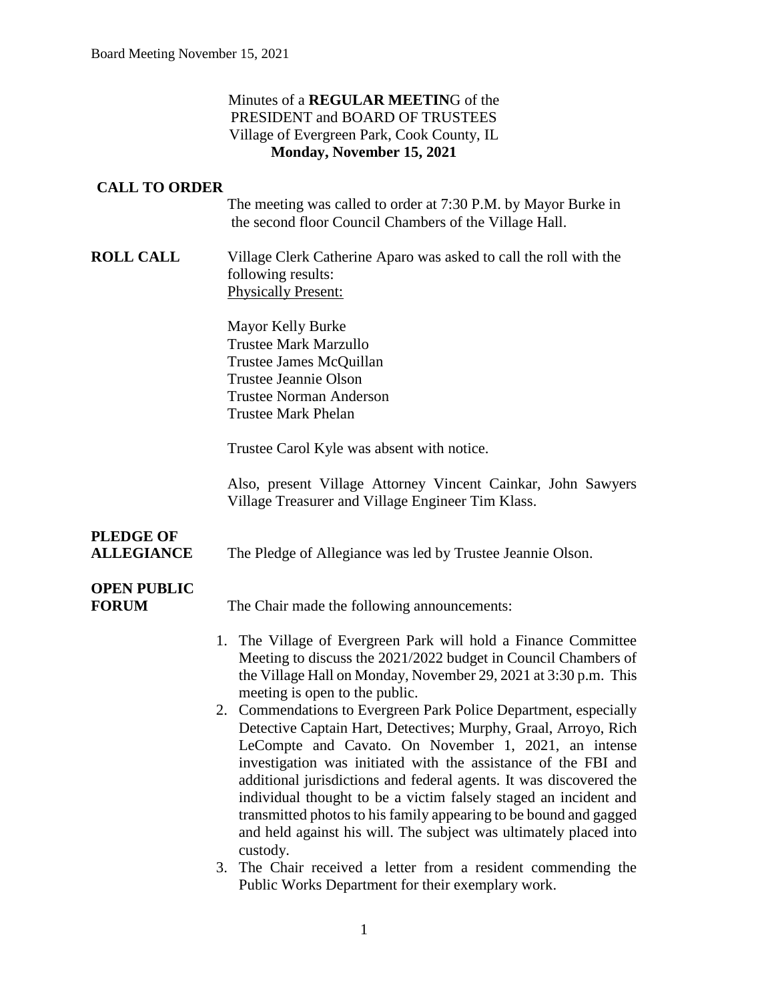#### Minutes of a **REGULAR MEETIN**G of the PRESIDENT and BOARD OF TRUSTEES Village of Evergreen Park, Cook County, IL **Monday, November 15, 2021**

#### **CALL TO ORDER**

The meeting was called to order at 7:30 P.M. by Mayor Burke in the second floor Council Chambers of the Village Hall.

**ROLL CALL** Village Clerk Catherine Aparo was asked to call the roll with the following results: Physically Present:

> Mayor Kelly Burke Trustee Mark Marzullo Trustee James McQuillan Trustee Jeannie Olson Trustee Norman Anderson Trustee Mark Phelan

Trustee Carol Kyle was absent with notice.

Also, present Village Attorney Vincent Cainkar, John Sawyers Village Treasurer and Village Engineer Tim Klass.

# **PLEDGE OF**

**ALLEGIANCE** The Pledge of Allegiance was led by Trustee Jeannie Olson.

# **OPEN PUBLIC**

**FORUM** The Chair made the following announcements:

- 1. The Village of Evergreen Park will hold a Finance Committee Meeting to discuss the 2021/2022 budget in Council Chambers of the Village Hall on Monday, November 29, 2021 at 3:30 p.m. This meeting is open to the public.
- 2. Commendations to Evergreen Park Police Department, especially Detective Captain Hart, Detectives; Murphy, Graal, Arroyo, Rich LeCompte and Cavato. On November 1, 2021, an intense investigation was initiated with the assistance of the FBI and additional jurisdictions and federal agents. It was discovered the individual thought to be a victim falsely staged an incident and transmitted photos to his family appearing to be bound and gagged and held against his will. The subject was ultimately placed into custody.
- 3. The Chair received a letter from a resident commending the Public Works Department for their exemplary work.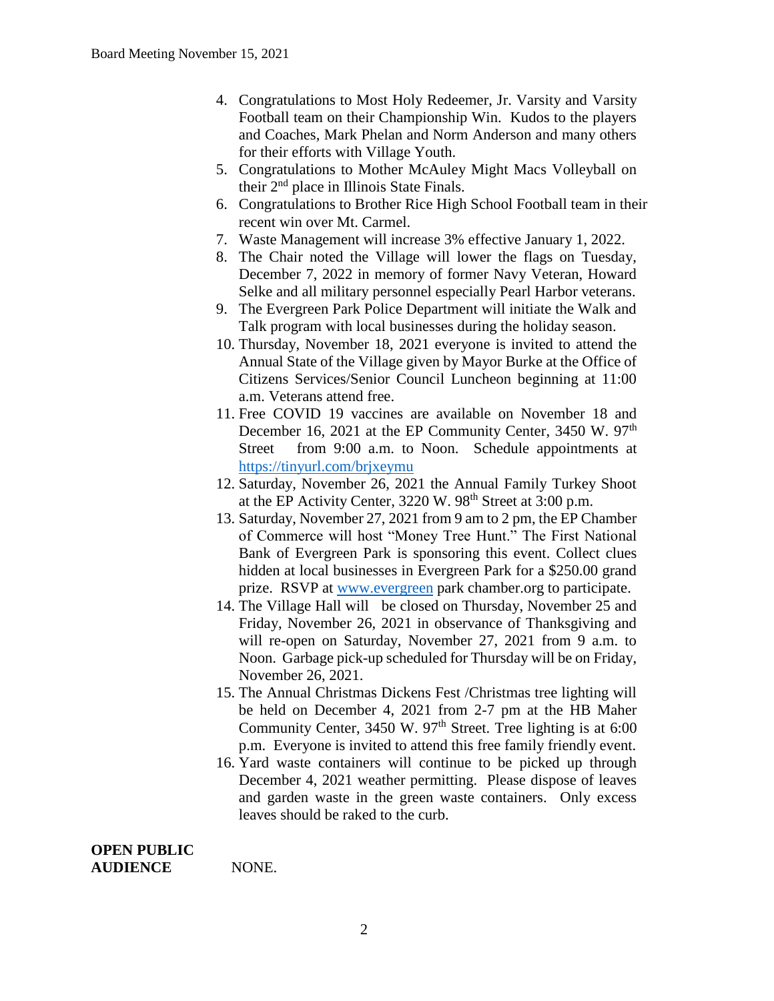- 4. Congratulations to Most Holy Redeemer, Jr. Varsity and Varsity Football team on their Championship Win. Kudos to the players and Coaches, Mark Phelan and Norm Anderson and many others for their efforts with Village Youth.
- 5. Congratulations to Mother McAuley Might Macs Volleyball on their 2nd place in Illinois State Finals.
- 6. Congratulations to Brother Rice High School Football team in their recent win over Mt. Carmel.
- 7. Waste Management will increase 3% effective January 1, 2022.
- 8. The Chair noted the Village will lower the flags on Tuesday, December 7, 2022 in memory of former Navy Veteran, Howard Selke and all military personnel especially Pearl Harbor veterans.
- 9. The Evergreen Park Police Department will initiate the Walk and Talk program with local businesses during the holiday season.
- 10. Thursday, November 18, 2021 everyone is invited to attend the Annual State of the Village given by Mayor Burke at the Office of Citizens Services/Senior Council Luncheon beginning at 11:00 a.m. Veterans attend free.
- 11. Free COVID 19 vaccines are available on November 18 and December 16, 2021 at the EP Community Center, 3450 W. 97<sup>th</sup> Street from 9:00 a.m. to Noon. Schedule appointments at <https://tinyurl.com/brjxeymu>
- 12. Saturday, November 26, 2021 the Annual Family Turkey Shoot at the EP Activity Center,  $3220 \text{ W}$ .  $98^{\text{th}}$  Street at  $3:00 \text{ p.m.}$
- 13. Saturday, November 27, 2021 from 9 am to 2 pm, the EP Chamber of Commerce will host "Money Tree Hunt." The First National Bank of Evergreen Park is sponsoring this event. Collect clues hidden at local businesses in Evergreen Park for a \$250.00 grand prize. RSVP at [www.evergreen](http://www.evergreen/) park chamber.org to participate.
- 14. The Village Hall will be closed on Thursday, November 25 and Friday, November 26, 2021 in observance of Thanksgiving and will re-open on Saturday, November 27, 2021 from 9 a.m. to Noon. Garbage pick-up scheduled for Thursday will be on Friday, November 26, 2021.
- 15. The Annual Christmas Dickens Fest /Christmas tree lighting will be held on December 4, 2021 from 2-7 pm at the HB Maher Community Center, 3450 W. 97<sup>th</sup> Street. Tree lighting is at 6:00 p.m. Everyone is invited to attend this free family friendly event.
- 16. Yard waste containers will continue to be picked up through December 4, 2021 weather permitting. Please dispose of leaves and garden waste in the green waste containers. Only excess leaves should be raked to the curb.

**OPEN PUBLIC AUDIENCE** NONE.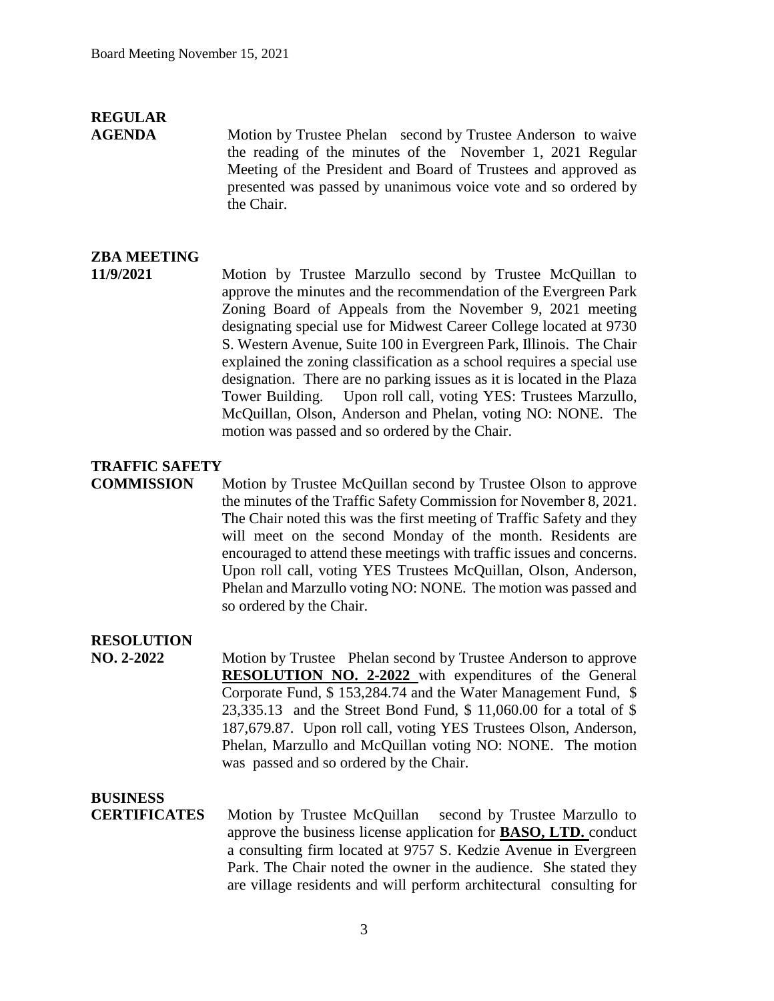## **REGULAR**

**AGENDA** Motion by Trustee Phelan second by Trustee Anderson to waive the reading of the minutes of the November 1, 2021 Regular Meeting of the President and Board of Trustees and approved as presented was passed by unanimous voice vote and so ordered by the Chair.

### **ZBA MEETING**

**11/9/2021** Motion by Trustee Marzullo second by Trustee McQuillan to approve the minutes and the recommendation of the Evergreen Park Zoning Board of Appeals from the November 9, 2021 meeting designating special use for Midwest Career College located at 9730 S. Western Avenue, Suite 100 in Evergreen Park, Illinois. The Chair explained the zoning classification as a school requires a special use designation. There are no parking issues as it is located in the Plaza Tower Building. Upon roll call, voting YES: Trustees Marzullo, McQuillan, Olson, Anderson and Phelan, voting NO: NONE. The motion was passed and so ordered by the Chair.

#### **TRAFFIC SAFETY**

**COMMISSION** Motion by Trustee McQuillan second by Trustee Olson to approve the minutes of the Traffic Safety Commission for November 8, 2021. The Chair noted this was the first meeting of Traffic Safety and they will meet on the second Monday of the month. Residents are encouraged to attend these meetings with traffic issues and concerns. Upon roll call, voting YES Trustees McQuillan, Olson, Anderson, Phelan and Marzullo voting NO: NONE. The motion was passed and so ordered by the Chair.

#### **RESOLUTION**

**NO. 2-2022** Motion by Trustee Phelan second by Trustee Anderson to approve **RESOLUTION NO. 2-2022** with expenditures of the General Corporate Fund, \$ 153,284.74 and the Water Management Fund, \$ 23,335.13 and the Street Bond Fund, \$ 11,060.00 for a total of \$ 187,679.87. Upon roll call, voting YES Trustees Olson, Anderson, Phelan, Marzullo and McQuillan voting NO: NONE. The motion was passed and so ordered by the Chair.

## **BUSINESS**

**CERTIFICATES** Motion by Trustee McQuillan second by Trustee Marzullo to approve the business license application for **BASO, LTD.** conduct a consulting firm located at 9757 S. Kedzie Avenue in Evergreen Park. The Chair noted the owner in the audience. She stated they are village residents and will perform architectural consulting for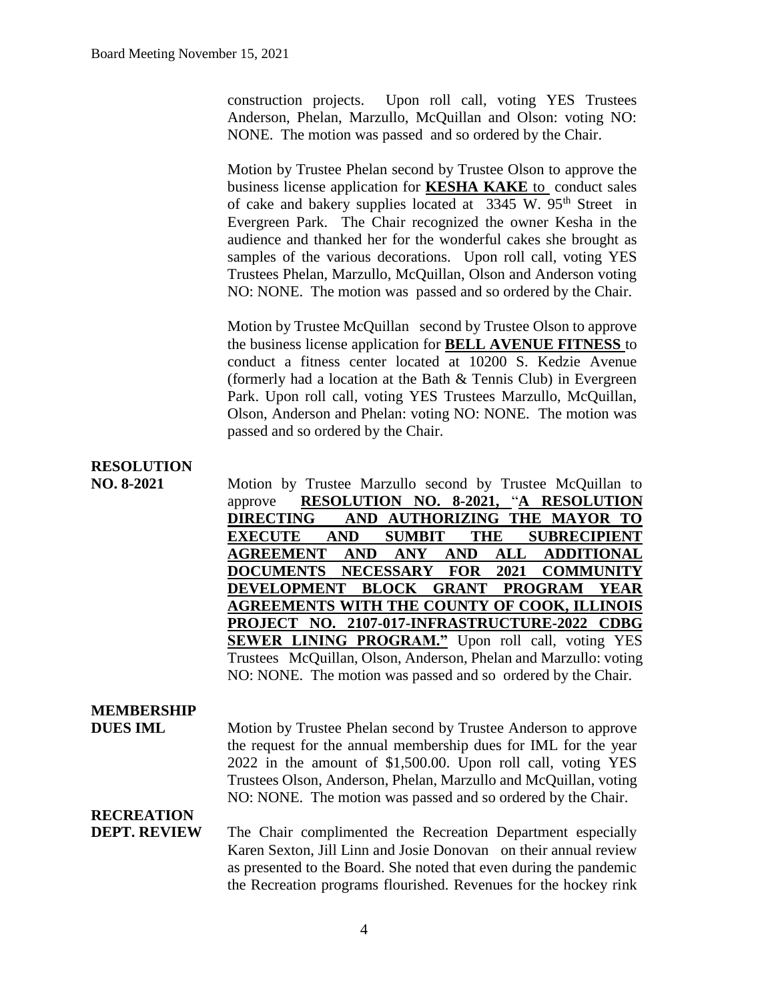construction projects. Upon roll call, voting YES Trustees Anderson, Phelan, Marzullo, McQuillan and Olson: voting NO: NONE. The motion was passed and so ordered by the Chair.

Motion by Trustee Phelan second by Trustee Olson to approve the business license application for **KESHA KAKE** to conduct sales of cake and bakery supplies located at 3345 W. 95<sup>th</sup> Street in Evergreen Park. The Chair recognized the owner Kesha in the audience and thanked her for the wonderful cakes she brought as samples of the various decorations. Upon roll call, voting YES Trustees Phelan, Marzullo, McQuillan, Olson and Anderson voting NO: NONE. The motion was passed and so ordered by the Chair.

Motion by Trustee McQuillan second by Trustee Olson to approve the business license application for **BELL AVENUE FITNESS** to conduct a fitness center located at 10200 S. Kedzie Avenue (formerly had a location at the Bath & Tennis Club) in Evergreen Park. Upon roll call, voting YES Trustees Marzullo, McQuillan, Olson, Anderson and Phelan: voting NO: NONE. The motion was passed and so ordered by the Chair.

## **RESOLUTION**

**NO. 8-2021** Motion by Trustee Marzullo second by Trustee McQuillan to approve **RESOLUTION NO. 8-2021,** "**A RESOLUTION DIRECTING AND AUTHORIZING THE MAYOR TO EXECUTE AND SUMBIT THE SUBRECIPIENT AGREEMENT AND ANY AND ALL ADDITIONAL DOCUMENTS NECESSARY FOR 2021 COMMUNITY DEVELOPMENT BLOCK GRANT PROGRAM YEAR AGREEMENTS WITH THE COUNTY OF COOK, ILLINOIS PROJECT NO. 2107-017-INFRASTRUCTURE-2022 CDBG SEWER LINING PROGRAM."** Upon roll call, voting YES Trustees McQuillan, Olson, Anderson, Phelan and Marzullo: voting NO: NONE. The motion was passed and so ordered by the Chair.

#### **MEMBERSHIP**

**DUES IML** Motion by Trustee Phelan second by Trustee Anderson to approve the request for the annual membership dues for IML for the year 2022 in the amount of \$1,500.00. Upon roll call, voting YES Trustees Olson, Anderson, Phelan, Marzullo and McQuillan, voting NO: NONE. The motion was passed and so ordered by the Chair.

## **RECREATION**

**DEPT. REVIEW** The Chair complimented the Recreation Department especially Karen Sexton, Jill Linn and Josie Donovan on their annual review as presented to the Board. She noted that even during the pandemic the Recreation programs flourished. Revenues for the hockey rink